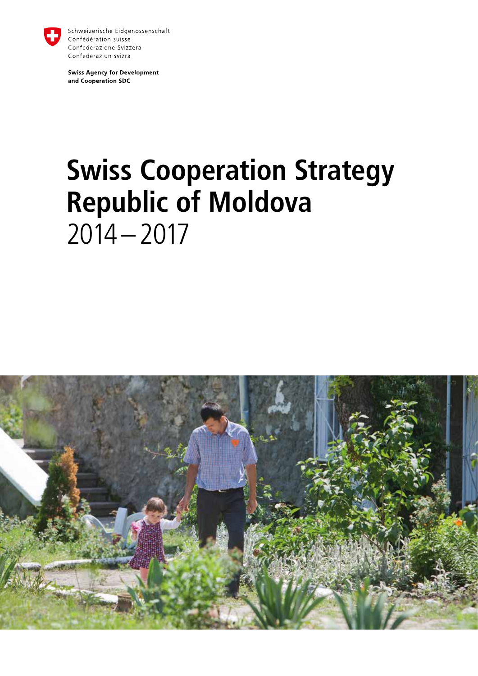

Schweizerische Eidgenossenschaft Confédération suisse Confederazione Svizzera Confederaziun svizra

**Swiss Agency for Development** and Cooperation SDC

# **Swiss Cooperation Strategy Republic of Moldova**   $2014 - 2017$

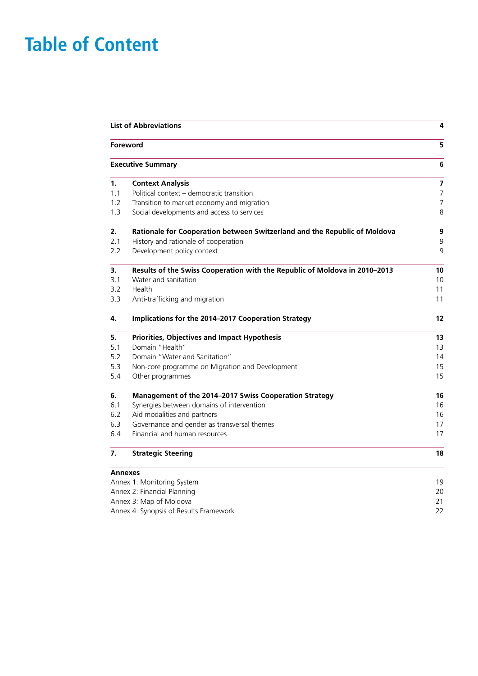# **Table of Content**

|                                        | <b>List of Abbreviations</b>                                               |                         |  |
|----------------------------------------|----------------------------------------------------------------------------|-------------------------|--|
|                                        | Foreword                                                                   | 5                       |  |
|                                        | <b>Executive Summary</b>                                                   | 6                       |  |
| 1.                                     | <b>Context Analysis</b>                                                    | $\overline{\mathbf{z}}$ |  |
| 1.1                                    | Political context - democratic transition                                  | $\overline{7}$          |  |
| 1.2                                    | Transition to market economy and migration                                 | $\overline{7}$          |  |
| 1.3                                    | Social developments and access to services                                 | 8                       |  |
| 2.                                     | Rationale for Cooperation between Switzerland and the Republic of Moldova  | 9                       |  |
| 2.1                                    | History and rationale of cooperation                                       | 9                       |  |
| 2.2                                    | Development policy context                                                 | 9                       |  |
| 3.                                     | Results of the Swiss Cooperation with the Republic of Moldova in 2010-2013 | 10                      |  |
| 3.1                                    | Water and sanitation                                                       | 10                      |  |
| 3.2                                    | Health                                                                     | 11                      |  |
| 3.3                                    | Anti-trafficking and migration                                             | 11                      |  |
| 4.                                     | Implications for the 2014-2017 Cooperation Strategy                        | 12                      |  |
| 5.                                     | Priorities, Objectives and Impact Hypothesis                               | 13                      |  |
| 5.1                                    | Domain "Health"                                                            | 13                      |  |
| 5.2                                    | Domain "Water and Sanitation"                                              | 14                      |  |
| 5.3                                    | Non-core programme on Migration and Development                            | 15                      |  |
| 5.4                                    | Other programmes                                                           | 15                      |  |
| 6.                                     | Management of the 2014-2017 Swiss Cooperation Strategy                     | 16                      |  |
| 6.1                                    | Synergies between domains of intervention                                  | 16                      |  |
| 6.2                                    | Aid modalities and partners                                                | 16                      |  |
| 6.3                                    | Governance and gender as transversal themes                                | 17                      |  |
| 6.4                                    | Financial and human resources                                              | 17                      |  |
| 7.                                     | <b>Strategic Steering</b>                                                  | 18                      |  |
|                                        | <b>Annexes</b>                                                             |                         |  |
|                                        | Annex 1: Monitoring System                                                 | 19<br>20                |  |
|                                        | Annex 2: Financial Planning                                                |                         |  |
|                                        | Annex 3: Map of Moldova                                                    | 21<br>22                |  |
| Annex 4: Synopsis of Results Framework |                                                                            |                         |  |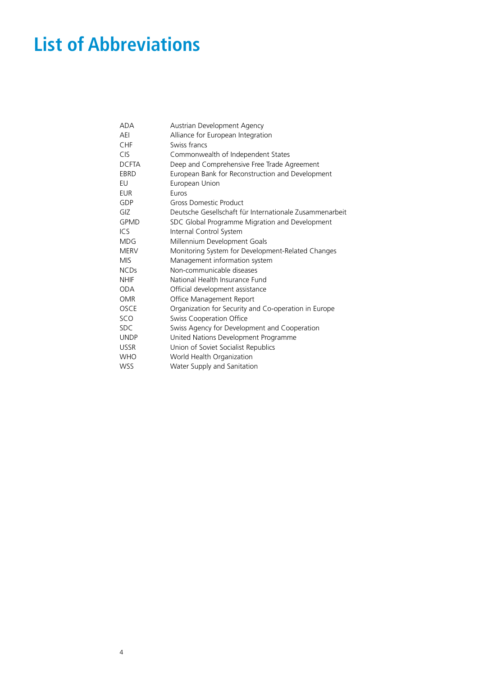# <span id="page-3-0"></span>**List of Abbreviations**

| ADA          | Austrian Development Agency                             |
|--------------|---------------------------------------------------------|
| AEI          | Alliance for European Integration                       |
| CHF          | Swiss francs                                            |
| <b>CIS</b>   | Commonwealth of Independent States                      |
| <b>DCFTA</b> | Deep and Comprehensive Free Trade Agreement             |
| EBRD         | European Bank for Reconstruction and Development        |
| EU           | European Union                                          |
| <b>EUR</b>   | Euros                                                   |
| GDP          | Gross Domestic Product                                  |
| GIZ          | Deutsche Gesellschaft für Internationale Zusammenarbeit |
| <b>GPMD</b>  | SDC Global Programme Migration and Development          |
| ICS          | Internal Control System                                 |
| <b>MDG</b>   | Millennium Development Goals                            |
| <b>MERV</b>  | Monitoring System for Development-Related Changes       |
| <b>MIS</b>   | Management information system                           |
| <b>NCDs</b>  | Non-communicable diseases                               |
| <b>NHIF</b>  | National Health Insurance Fund                          |
| <b>ODA</b>   | Official development assistance                         |
| <b>OMR</b>   | Office Management Report                                |
| <b>OSCE</b>  | Organization for Security and Co-operation in Europe    |
| SCO          | <b>Swiss Cooperation Office</b>                         |
| <b>SDC</b>   | Swiss Agency for Development and Cooperation            |
| <b>UNDP</b>  | United Nations Development Programme                    |
| <b>USSR</b>  | Union of Soviet Socialist Republics                     |
| WHO          | World Health Organization                               |
| <b>WSS</b>   | Water Supply and Sanitation                             |
|              |                                                         |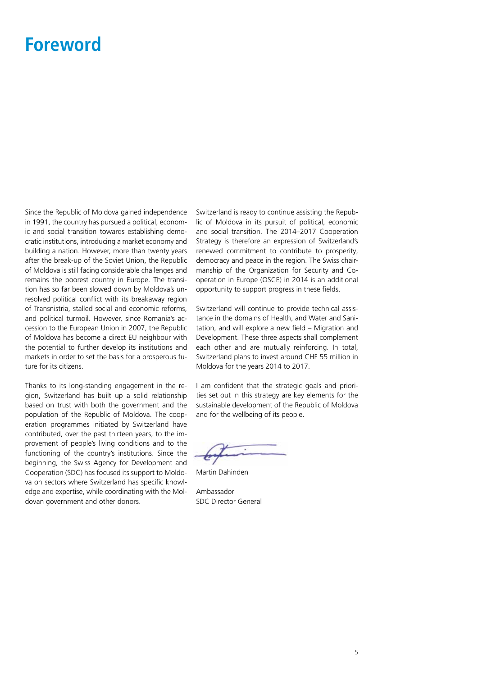### <span id="page-4-0"></span>**Foreword**

Since the Republic of Moldova gained independence in 1991, the country has pursued a political, economic and social transition towards establishing democratic institutions, introducing a market economy and building a nation. However, more than twenty years after the break-up of the Soviet Union, the Republic of Moldova is still facing considerable challenges and remains the poorest country in Europe. The transition has so far been slowed down by Moldova's unresolved political conflict with its breakaway region of Transnistria, stalled social and economic reforms, and political turmoil. However, since Romania's accession to the European Union in 2007, the Republic of Moldova has become a direct EU neighbour with the potential to further develop its institutions and markets in order to set the basis for a prosperous future for its citizens.

Thanks to its long-standing engagement in the region, Switzerland has built up a solid relationship based on trust with both the government and the population of the Republic of Moldova. The cooperation programmes initiated by Switzerland have contributed, over the past thirteen years, to the improvement of people's living conditions and to the functioning of the country's institutions. Since the beginning, the Swiss Agency for Development and Cooperation (SDC) has focused its support to Moldova on sectors where Switzerland has specific knowledge and expertise, while coordinating with the Moldovan government and other donors.

Switzerland is ready to continue assisting the Republic of Moldova in its pursuit of political, economic and social transition. The 2014–2017 Cooperation Strategy is therefore an expression of Switzerland's renewed commitment to contribute to prosperity, democracy and peace in the region. The Swiss chairmanship of the Organization for Security and Cooperation in Europe (OSCE) in 2014 is an additional opportunity to support progress in these fields.

Switzerland will continue to provide technical assistance in the domains of Health, and Water and Sanitation, and will explore a new field – Migration and Development. These three aspects shall complement each other and are mutually reinforcing. In total, Switzerland plans to invest around CHF 55 million in Moldova for the years 2014 to 2017.

I am confident that the strategic goals and priorities set out in this strategy are key elements for the sustainable development of the Republic of Moldova and for the wellbeing of its people.

Martin Dahinden

Ambassador SDC Director General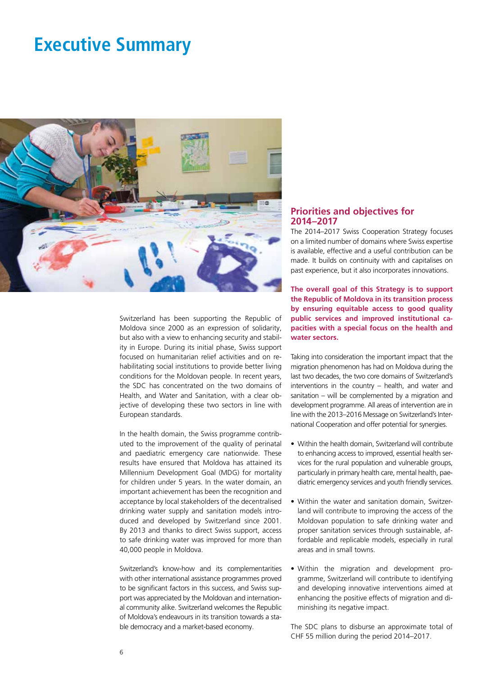### <span id="page-5-0"></span>**Executive Summary**



Switzerland has been supporting the Republic of Moldova since 2000 as an expression of solidarity, but also with a view to enhancing security and stability in Europe. During its initial phase, Swiss support focused on humanitarian relief activities and on rehabilitating social institutions to provide better living conditions for the Moldovan people. In recent years, the SDC has concentrated on the two domains of Health, and Water and Sanitation, with a clear objective of developing these two sectors in line with European standards.

In the health domain, the Swiss programme contributed to the improvement of the quality of perinatal and paediatric emergency care nationwide. These results have ensured that Moldova has attained its Millennium Development Goal (MDG) for mortality for children under 5 years. In the water domain, an important achievement has been the recognition and acceptance by local stakeholders of the decentralised drinking water supply and sanitation models introduced and developed by Switzerland since 2001. By 2013 and thanks to direct Swiss support, access to safe drinking water was improved for more than 40,000 people in Moldova.

Switzerland's know-how and its complementarities with other international assistance programmes proved to be significant factors in this success, and Swiss support was appreciated by the Moldovan and international community alike. Switzerland welcomes the Republic of Moldova's endeavours in its transition towards a stable democracy and a market-based economy.

#### **Priorities and objectives for 2014–2017**

The 2014–2017 Swiss Cooperation Strategy focuses on a limited number of domains where Swiss expertise is available, effective and a useful contribution can be made. It builds on continuity with and capitalises on past experience, but it also incorporates innovations.

**The overall goal of this Strategy is to support the Republic of Moldova in its transition process by ensuring equitable access to good quality public services and improved institutional capacities with a special focus on the health and water sectors.** 

Taking into consideration the important impact that the migration phenomenon has had on Moldova during the last two decades, the two core domains of Switzerland's interventions in the country – health, and water and sanitation – will be complemented by a migration and development programme. All areas of intervention are in line with the 2013–2016 Message on Switzerland's International Cooperation and offer potential for synergies.

- Within the health domain, Switzerland will contribute to enhancing access to improved, essential health services for the rural population and vulnerable groups, particularly in primary health care, mental health, paediatric emergency services and youth friendly services.
- Within the water and sanitation domain, Switzerland will contribute to improving the access of the Moldovan population to safe drinking water and proper sanitation services through sustainable, affordable and replicable models, especially in rural areas and in small towns.
- Within the migration and development programme, Switzerland will contribute to identifying and developing innovative interventions aimed at enhancing the positive effects of migration and diminishing its negative impact.

The SDC plans to disburse an approximate total of CHF 55 million during the period 2014–2017.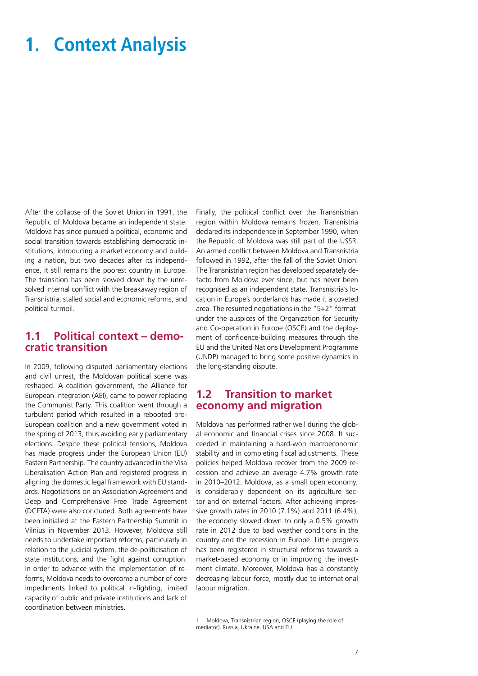### **1. Context Analysis**

After the collapse of the Soviet Union in 1991, the Republic of Moldova became an independent state. Moldova has since pursued a political, economic and social transition towards establishing democratic institutions, introducing a market economy and building a nation, but two decades after its independence, it still remains the poorest country in Europe. The transition has been slowed down by the unresolved internal conflict with the breakaway region of Transnistria, stalled social and economic reforms, and political turmoil.

#### **1.1 Political context – democratic transition**

In 2009, following disputed parliamentary elections and civil unrest, the Moldovan political scene was reshaped. A coalition government, the Alliance for European Integration (AEI), came to power replacing the Communist Party. This coalition went through a turbulent period which resulted in a rebooted pro-European coalition and a new government voted in the spring of 2013, thus avoiding early parliamentary elections. Despite these political tensions, Moldova has made progress under the European Union (EU) Eastern Partnership. The country advanced in the Visa Liberalisation Action Plan and registered progress in aligning the domestic legal framework with EU standards. Negotiations on an Association Agreement and Deep and Comprehensive Free Trade Agreement (DCFTA) were also concluded. Both agreements have been initialled at the Eastern Partnership Summit in Vilnius in November 2013. However, Moldova still needs to undertake important reforms, particularly in relation to the judicial system, the de-politicisation of state institutions, and the fight against corruption. In order to advance with the implementation of reforms, Moldova needs to overcome a number of core impediments linked to political in-fighting, limited capacity of public and private institutions and lack of coordination between ministries.

Finally, the political conflict over the Transnistrian region within Moldova remains frozen. Transnistria declared its independence in September 1990, when the Republic of Moldova was still part of the USSR. An armed conflict between Moldova and Transnistria followed in 1992, after the fall of the Soviet Union. The Transnistrian region has developed separately defacto from Moldova ever since, but has never been recognised as an independent state. Transnistria's location in Europe's borderlands has made it a coveted area. The resumed negotiations in the "5+2" format<sup>1</sup> under the auspices of the Organization for Security and Co-operation in Europe (OSCE) and the deployment of confidence-building measures through the EU and the United Nations Development Programme (UNDP) managed to bring some positive dynamics in the long-standing dispute.

#### **1.2 Transition to market economy and migration**

Moldova has performed rather well during the global economic and financial crises since 2008. It succeeded in maintaining a hard-won macroeconomic stability and in completing fiscal adjustments. These policies helped Moldova recover from the 2009 recession and achieve an average 4.7% growth rate in 2010–2012. Moldova, as a small open economy, is considerably dependent on its agriculture sector and on external factors. After achieving impressive growth rates in 2010 (7.1%) and 2011 (6.4%), the economy slowed down to only a 0.5% growth rate in 2012 due to bad weather conditions in the country and the recession in Europe. Little progress has been registered in structural reforms towards a market-based economy or in improving the investment climate. Moreover, Moldova has a constantly decreasing labour force, mostly due to international labour migration.

<sup>1</sup> Moldova, Transnistrian region, OSCE (playing the role of mediator), Russia, Ukraine, USA and EU.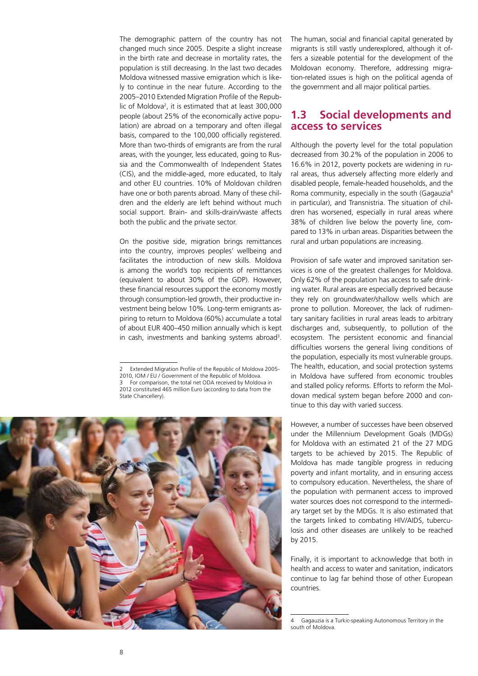The demographic pattern of the country has not changed much since 2005. Despite a slight increase in the birth rate and decrease in mortality rates, the population is still decreasing. In the last two decades Moldova witnessed massive emigration which is likely to continue in the near future. According to the 2005–2010 Extended Migration Profile of the Republic of Moldova2 , it is estimated that at least 300,000 people (about 25% of the economically active population) are abroad on a temporary and often illegal basis, compared to the 100,000 officially registered. More than two-thirds of emigrants are from the rural areas, with the younger, less educated, going to Russia and the Commonwealth of Independent States (CIS), and the middle-aged, more educated, to Italy and other EU countries. 10% of Moldovan children have one or both parents abroad. Many of these children and the elderly are left behind without much social support. Brain- and skills-drain/waste affects both the public and the private sector.

On the positive side, migration brings remittances into the country, improves peoples' wellbeing and facilitates the introduction of new skills. Moldova is among the world's top recipients of remittances (equivalent to about 30% of the GDP). However, these financial resources support the economy mostly through consumption-led growth, their productive investment being below 10%. Long-term emigrants aspiring to return to Moldova (60%) accumulate a total of about EUR 400–450 million annually which is kept in cash, investments and banking systems abroad<sup>3</sup>.

<sup>2012</sup> constituted 465 million Euro (according to data from the State Chancellery).



The human, social and financial capital generated by migrants is still vastly underexplored, although it offers a sizeable potential for the development of the Moldovan economy. Therefore, addressing migration-related issues is high on the political agenda of the government and all major political parties.

### **1.3 Social developments and access to services**

Although the poverty level for the total population decreased from 30.2% of the population in 2006 to 16.6% in 2012, poverty pockets are widening in rural areas, thus adversely affecting more elderly and disabled people, female-headed households, and the Roma community, especially in the south (Gagauzia4 in particular), and Transnistria. The situation of children has worsened, especially in rural areas where 38% of children live below the poverty line, compared to 13% in urban areas. Disparities between the rural and urban populations are increasing.

Provision of safe water and improved sanitation services is one of the greatest challenges for Moldova. Only 62% of the population has access to safe drinking water. Rural areas are especially deprived because they rely on groundwater/shallow wells which are prone to pollution. Moreover, the lack of rudimentary sanitary facilities in rural areas leads to arbitrary discharges and, subsequently, to pollution of the ecosystem. The persistent economic and financial difficulties worsens the general living conditions of the population, especially its most vulnerable groups. The health, education, and social protection systems in Moldova have suffered from economic troubles and stalled policy reforms. Efforts to reform the Moldovan medical system began before 2000 and continue to this day with varied success.

However, a number of successes have been observed under the Millennium Development Goals (MDGs) for Moldova with an estimated 21 of the 27 MDG targets to be achieved by 2015. The Republic of Moldova has made tangible progress in reducing poverty and infant mortality, and in ensuring access to compulsory education. Nevertheless, the share of the population with permanent access to improved water sources does not correspond to the intermediary target set by the MDGs. It is also estimated that the targets linked to combating HIV/AIDS, tuberculosis and other diseases are unlikely to be reached by 2015.

Finally, it is important to acknowledge that both in health and access to water and sanitation, indicators continue to lag far behind those of other European countries.

<sup>2</sup> Extended Migration Profile of the Republic of Moldova 2005- 2010, IOM / EU / Government of the Republic of Moldova. 3 For comparison, the total net ODA received by Moldova in

<sup>4</sup> Gagauzia is a Turkic-speaking Autonomous Territory in the south of Moldova.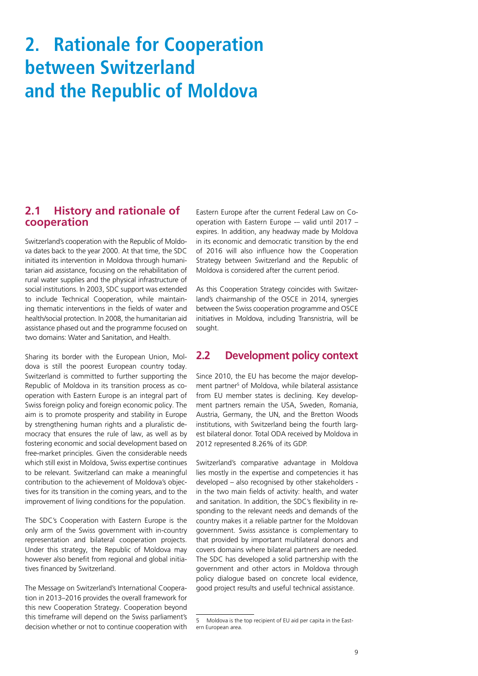# **2. Rationale for Cooperation between Switzerland and the Republic of Moldova**

#### **2.1 History and rationale of cooperation**

Switzerland's cooperation with the Republic of Moldova dates back to the year 2000. At that time, the SDC initiated its intervention in Moldova through humanitarian aid assistance, focusing on the rehabilitation of rural water supplies and the physical infrastructure of social institutions. In 2003, SDC support was extended to include Technical Cooperation, while maintaining thematic interventions in the fields of water and health/social protection. In 2008, the humanitarian aid assistance phased out and the programme focused on two domains: Water and Sanitation, and Health.

Sharing its border with the European Union, Moldova is still the poorest European country today. Switzerland is committed to further supporting the Republic of Moldova in its transition process as cooperation with Eastern Europe is an integral part of Swiss foreign policy and foreign economic policy. The aim is to promote prosperity and stability in Europe by strengthening human rights and a pluralistic democracy that ensures the rule of law, as well as by fostering economic and social development based on free-market principles. Given the considerable needs which still exist in Moldova, Swiss expertise continues to be relevant. Switzerland can make a meaningful contribution to the achievement of Moldova's objectives for its transition in the coming years, and to the improvement of living conditions for the population.

The SDC's Cooperation with Eastern Europe is the only arm of the Swiss government with in-country representation and bilateral cooperation projects. Under this strategy, the Republic of Moldova may however also benefit from regional and global initiatives financed by Switzerland.

The Message on Switzerland's International Cooperation in 2013–2016 provides the overall framework for this new Cooperation Strategy. Cooperation beyond this timeframe will depend on the Swiss parliament's decision whether or not to continue cooperation with Eastern Europe after the current Federal Law on Cooperation with Eastern Europe -– valid until 2017 – expires. In addition, any headway made by Moldova in its economic and democratic transition by the end of 2016 will also influence how the Cooperation Strategy between Switzerland and the Republic of Moldova is considered after the current period.

As this Cooperation Strategy coincides with Switzerland's chairmanship of the OSCE in 2014, synergies between the Swiss cooperation programme and OSCE initiatives in Moldova, including Transnistria, will be sought.

### **2.2 Development policy context**

Since 2010, the EU has become the major development partner<sup>5</sup> of Moldova, while bilateral assistance from EU member states is declining. Key development partners remain the USA, Sweden, Romania, Austria, Germany, the UN, and the Bretton Woods institutions, with Switzerland being the fourth largest bilateral donor. Total ODA received by Moldova in 2012 represented 8.26% of its GDP.

Switzerland's comparative advantage in Moldova lies mostly in the expertise and competencies it has developed – also recognised by other stakeholders in the two main fields of activity: health, and water and sanitation. In addition, the SDC's flexibility in responding to the relevant needs and demands of the country makes it a reliable partner for the Moldovan government. Swiss assistance is complementary to that provided by important multilateral donors and covers domains where bilateral partners are needed. The SDC has developed a solid partnership with the government and other actors in Moldova through policy dialogue based on concrete local evidence, good project results and useful technical assistance.

<sup>5</sup> Moldova is the top recipient of EU aid per capita in the Eastern European area.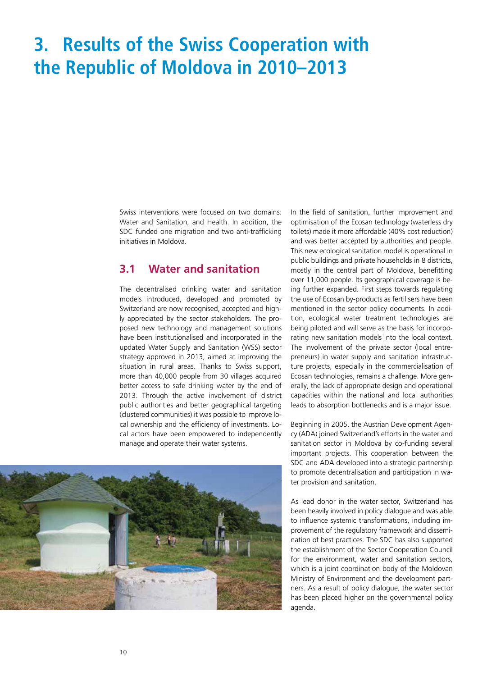# **3. Results of the Swiss Cooperation with the Republic of Moldova in 2010–2013**

Swiss interventions were focused on two domains: Water and Sanitation, and Health. In addition, the SDC funded one migration and two anti-trafficking initiatives in Moldova.

### **3.1 Water and sanitation**

The decentralised drinking water and sanitation models introduced, developed and promoted by Switzerland are now recognised, accepted and highly appreciated by the sector stakeholders. The proposed new technology and management solutions have been institutionalised and incorporated in the updated Water Supply and Sanitation (WSS) sector strategy approved in 2013, aimed at improving the situation in rural areas. Thanks to Swiss support, more than 40,000 people from 30 villages acquired better access to safe drinking water by the end of 2013. Through the active involvement of district public authorities and better geographical targeting (clustered communities) it was possible to improve local ownership and the efficiency of investments. Local actors have been empowered to independently manage and operate their water systems.



In the field of sanitation, further improvement and optimisation of the Ecosan technology (waterless dry toilets) made it more affordable (40% cost reduction) and was better accepted by authorities and people. This new ecological sanitation model is operational in public buildings and private households in 8 districts, mostly in the central part of Moldova, benefitting over 11,000 people. Its geographical coverage is being further expanded. First steps towards regulating the use of Ecosan by-products as fertilisers have been mentioned in the sector policy documents. In addition, ecological water treatment technologies are being piloted and will serve as the basis for incorporating new sanitation models into the local context. The involvement of the private sector (local entrepreneurs) in water supply and sanitation infrastructure projects, especially in the commercialisation of Ecosan technologies, remains a challenge. More generally, the lack of appropriate design and operational capacities within the national and local authorities leads to absorption bottlenecks and is a major issue.

Beginning in 2005, the Austrian Development Agency (ADA) joined Switzerland's efforts in the water and sanitation sector in Moldova by co-funding several important projects. This cooperation between the SDC and ADA developed into a strategic partnership to promote decentralisation and participation in water provision and sanitation.

As lead donor in the water sector, Switzerland has been heavily involved in policy dialogue and was able to influence systemic transformations, including improvement of the regulatory framework and dissemination of best practices. The SDC has also supported the establishment of the Sector Cooperation Council for the environment, water and sanitation sectors, which is a joint coordination body of the Moldovan Ministry of Environment and the development partners. As a result of policy dialogue, the water sector has been placed higher on the governmental policy agenda.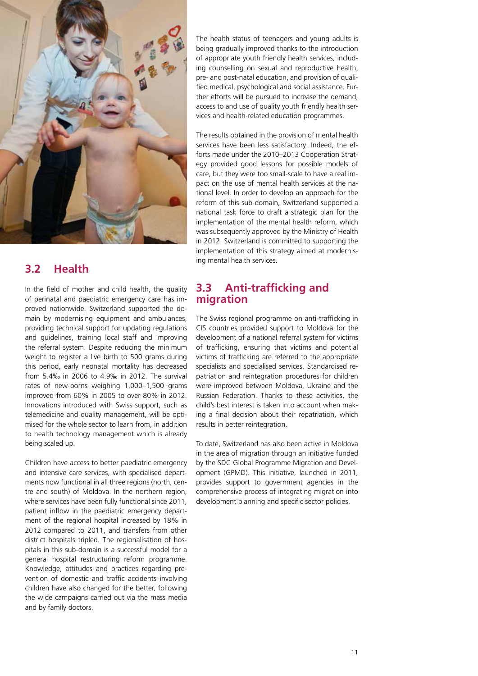

### **3.2 Health**

In the field of mother and child health, the quality of perinatal and paediatric emergency care has improved nationwide. Switzerland supported the domain by modernising equipment and ambulances, providing technical support for updating regulations and guidelines, training local staff and improving the referral system. Despite reducing the minimum weight to register a live birth to 500 grams during this period, early neonatal mortality has decreased from 5.4‰ in 2006 to 4.9‰ in 2012. The survival rates of new-borns weighing 1,000–1,500 grams improved from 60% in 2005 to over 80% in 2012. Innovations introduced with Swiss support, such as telemedicine and quality management, will be optimised for the whole sector to learn from, in addition to health technology management which is already being scaled up.

Children have access to better paediatric emergency and intensive care services, with specialised departments now functional in all three regions (north, centre and south) of Moldova. In the northern region, where services have been fully functional since 2011, patient inflow in the paediatric emergency department of the regional hospital increased by 18% in 2012 compared to 2011, and transfers from other district hospitals tripled. The regionalisation of hospitals in this sub-domain is a successful model for a general hospital restructuring reform programme. Knowledge, attitudes and practices regarding prevention of domestic and traffic accidents involving children have also changed for the better, following the wide campaigns carried out via the mass media and by family doctors.

The health status of teenagers and young adults is being gradually improved thanks to the introduction of appropriate youth friendly health services, including counselling on sexual and reproductive health, pre- and post-natal education, and provision of qualified medical, psychological and social assistance. Further efforts will be pursued to increase the demand, access to and use of quality youth friendly health services and health-related education programmes.

The results obtained in the provision of mental health services have been less satisfactory. Indeed, the efforts made under the 2010–2013 Cooperation Strategy provided good lessons for possible models of care, but they were too small-scale to have a real impact on the use of mental health services at the national level. In order to develop an approach for the reform of this sub-domain, Switzerland supported a national task force to draft a strategic plan for the implementation of the mental health reform, which was subsequently approved by the Ministry of Health in 2012. Switzerland is committed to supporting the implementation of this strategy aimed at modernising mental health services.

### **3.3 Anti-trafficking and migration**

The Swiss regional programme on anti-trafficking in CIS countries provided support to Moldova for the development of a national referral system for victims of trafficking, ensuring that victims and potential victims of trafficking are referred to the appropriate specialists and specialised services. Standardised repatriation and reintegration procedures for children were improved between Moldova, Ukraine and the Russian Federation. Thanks to these activities, the child's best interest is taken into account when making a final decision about their repatriation, which results in better reintegration.

To date, Switzerland has also been active in Moldova in the area of migration through an initiative funded by the SDC Global Programme Migration and Development (GPMD). This initiative, launched in 2011, provides support to government agencies in the comprehensive process of integrating migration into development planning and specific sector policies.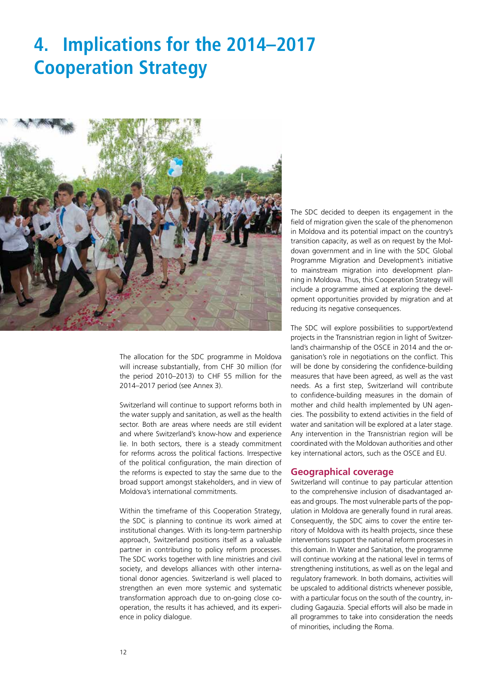### **4. Implications for the 2014–2017 Cooperation Strategy**



The allocation for the SDC programme in Moldova will increase substantially, from CHF 30 million (for the period 2010–2013) to CHF 55 million for the 2014–2017 period (see Annex 3).

Switzerland will continue to support reforms both in the water supply and sanitation, as well as the health sector. Both are areas where needs are still evident and where Switzerland's know-how and experience lie. In both sectors, there is a steady commitment for reforms across the political factions. Irrespective of the political configuration, the main direction of the reforms is expected to stay the same due to the broad support amongst stakeholders, and in view of Moldova's international commitments.

Within the timeframe of this Cooperation Strategy, the SDC is planning to continue its work aimed at institutional changes. With its long-term partnership approach, Switzerland positions itself as a valuable partner in contributing to policy reform processes. The SDC works together with line ministries and civil society, and develops alliances with other international donor agencies. Switzerland is well placed to strengthen an even more systemic and systematic transformation approach due to on-going close cooperation, the results it has achieved, and its experience in policy dialogue.

The SDC decided to deepen its engagement in the field of migration given the scale of the phenomenon in Moldova and its potential impact on the country's transition capacity, as well as on request by the Moldovan government and in line with the SDC Global Programme Migration and Development's initiative to mainstream migration into development planning in Moldova. Thus, this Cooperation Strategy will include a programme aimed at exploring the development opportunities provided by migration and at reducing its negative consequences.

The SDC will explore possibilities to support/extend projects in the Transnistrian region in light of Switzerland's chairmanship of the OSCE in 2014 and the organisation's role in negotiations on the conflict. This will be done by considering the confidence-building measures that have been agreed, as well as the vast needs. As a first step, Switzerland will contribute to confidence-building measures in the domain of mother and child health implemented by UN agencies. The possibility to extend activities in the field of water and sanitation will be explored at a later stage. Any intervention in the Transnistrian region will be coordinated with the Moldovan authorities and other key international actors, such as the OSCE and EU.

#### **Geographical coverage**

Switzerland will continue to pay particular attention to the comprehensive inclusion of disadvantaged areas and groups. The most vulnerable parts of the population in Moldova are generally found in rural areas. Consequently, the SDC aims to cover the entire territory of Moldova with its health projects, since these interventions support the national reform processes in this domain. In Water and Sanitation, the programme will continue working at the national level in terms of strengthening institutions, as well as on the legal and regulatory framework. In both domains, activities will be upscaled to additional districts whenever possible, with a particular focus on the south of the country, including Gagauzia. Special efforts will also be made in all programmes to take into consideration the needs of minorities, including the Roma.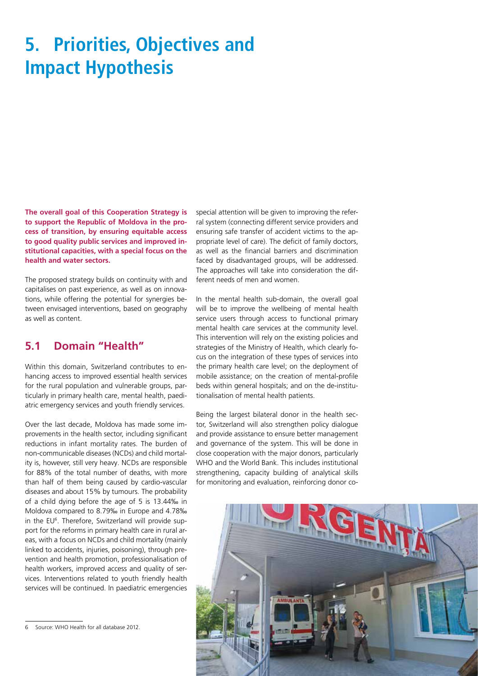# **5. Priorities, Objectives and Impact Hypothesis**

**The overall goal of this Cooperation Strategy is to support the Republic of Moldova in the process of transition, by ensuring equitable access to good quality public services and improved institutional capacities, with a special focus on the health and water sectors.** 

The proposed strategy builds on continuity with and capitalises on past experience, as well as on innovations, while offering the potential for synergies between envisaged interventions, based on geography as well as content.

### **5.1 Domain "Health"**

Within this domain, Switzerland contributes to enhancing access to improved essential health services for the rural population and vulnerable groups, particularly in primary health care, mental health, paediatric emergency services and youth friendly services.

Over the last decade, Moldova has made some improvements in the health sector, including significant reductions in infant mortality rates. The burden of non-communicable diseases (NCDs) and child mortality is, however, still very heavy. NCDs are responsible for 88% of the total number of deaths, with more than half of them being caused by cardio-vascular diseases and about 15% by tumours. The probability of a child dying before the age of 5 is 13.44‰ in Moldova compared to 8.79‰ in Europe and 4.78‰ in the EU<sup>6</sup>. Therefore, Switzerland will provide support for the reforms in primary health care in rural areas, with a focus on NCDs and child mortality (mainly linked to accidents, injuries, poisoning), through prevention and health promotion, professionalisation of health workers, improved access and quality of services. Interventions related to youth friendly health services will be continued. In paediatric emergencies special attention will be given to improving the referral system (connecting different service providers and ensuring safe transfer of accident victims to the appropriate level of care). The deficit of family doctors, as well as the financial barriers and discrimination faced by disadvantaged groups, will be addressed. The approaches will take into consideration the different needs of men and women.

In the mental health sub-domain, the overall goal will be to improve the wellbeing of mental health service users through access to functional primary mental health care services at the community level. This intervention will rely on the existing policies and strategies of the Ministry of Health, which clearly focus on the integration of these types of services into the primary health care level; on the deployment of mobile assistance; on the creation of mental-profile beds within general hospitals; and on the de-institutionalisation of mental health patients.

Being the largest bilateral donor in the health sector, Switzerland will also strengthen policy dialogue and provide assistance to ensure better management and governance of the system. This will be done in close cooperation with the major donors, particularly WHO and the World Bank. This includes institutional strengthening, capacity building of analytical skills for monitoring and evaluation, reinforcing donor co-



<sup>6</sup> Source: WHO Health for all database 2012.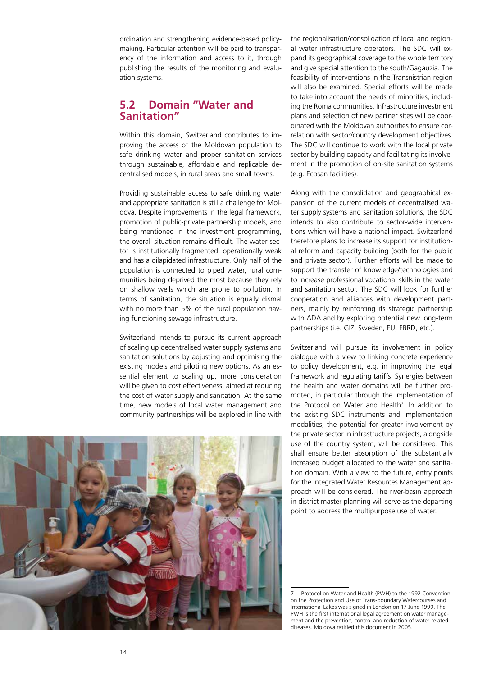ordination and strengthening evidence-based policymaking. Particular attention will be paid to transparency of the information and access to it, through publishing the results of the monitoring and evaluation systems.

#### **5.2 Domain "Water and Sanitation"**

Within this domain, Switzerland contributes to improving the access of the Moldovan population to safe drinking water and proper sanitation services through sustainable, affordable and replicable decentralised models, in rural areas and small towns.

Providing sustainable access to safe drinking water and appropriate sanitation is still a challenge for Moldova. Despite improvements in the legal framework, promotion of public-private partnership models, and being mentioned in the investment programming, the overall situation remains difficult. The water sector is institutionally fragmented, operationally weak and has a dilapidated infrastructure. Only half of the population is connected to piped water, rural communities being deprived the most because they rely on shallow wells which are prone to pollution. In terms of sanitation, the situation is equally dismal with no more than 5% of the rural population having functioning sewage infrastructure.

Switzerland intends to pursue its current approach of scaling up decentralised water supply systems and sanitation solutions by adjusting and optimising the existing models and piloting new options. As an essential element to scaling up, more consideration will be given to cost effectiveness, aimed at reducing the cost of water supply and sanitation. At the same time, new models of local water management and community partnerships will be explored in line with



the regionalisation/consolidation of local and regional water infrastructure operators. The SDC will expand its geographical coverage to the whole territory and give special attention to the south/Gagauzia. The feasibility of interventions in the Transnistrian region will also be examined. Special efforts will be made to take into account the needs of minorities, including the Roma communities. Infrastructure investment plans and selection of new partner sites will be coordinated with the Moldovan authorities to ensure correlation with sector/country development objectives. The SDC will continue to work with the local private sector by building capacity and facilitating its involvement in the promotion of on-site sanitation systems (e.g. Ecosan facilities).

Along with the consolidation and geographical expansion of the current models of decentralised water supply systems and sanitation solutions, the SDC intends to also contribute to sector-wide interventions which will have a national impact. Switzerland therefore plans to increase its support for institutional reform and capacity building (both for the public and private sector). Further efforts will be made to support the transfer of knowledge/technologies and to increase professional vocational skills in the water and sanitation sector. The SDC will look for further cooperation and alliances with development partners, mainly by reinforcing its strategic partnership with ADA and by exploring potential new long-term partnerships (i.e. GIZ, Sweden, EU, EBRD, etc.).

Switzerland will pursue its involvement in policy dialogue with a view to linking concrete experience to policy development, e.g. in improving the legal framework and regulating tariffs. Synergies between the health and water domains will be further promoted, in particular through the implementation of the Protocol on Water and Health<sup>7</sup>. In addition to the existing SDC instruments and implementation modalities, the potential for greater involvement by the private sector in infrastructure projects, alongside use of the country system, will be considered. This shall ensure better absorption of the substantially increased budget allocated to the water and sanitation domain. With a view to the future, entry points for the Integrated Water Resources Management approach will be considered. The river-basin approach in district master planning will serve as the departing point to address the multipurpose use of water.

7 Protocol on Water and Health (PWH) to the 1992 Convention on the Protection and Use of Trans-boundary Watercourses and International Lakes was signed in London on 17 June 1999. The PWH is the first international legal agreement on water management and the prevention, control and reduction of water-related diseases. Moldova ratified this document in 2005.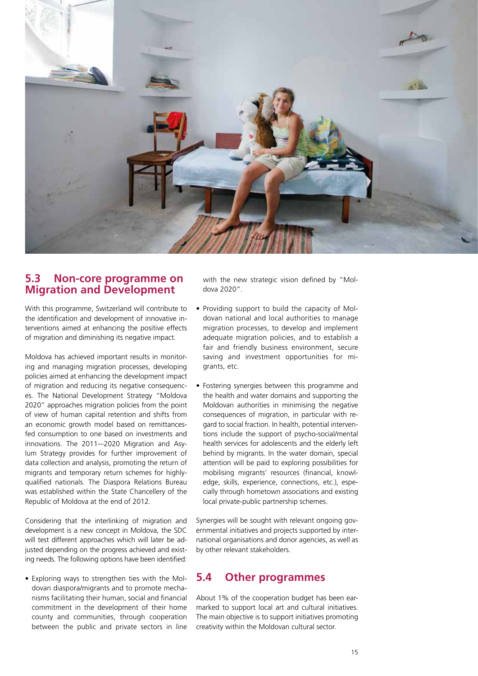

### **5.3 Non-core programme on Migration and Development**

With this programme, Switzerland will contribute to the identification and development of innovative interventions aimed at enhancing the positive effects of migration and diminishing its negative impact.

Moldova has achieved important results in monitoring and managing migration processes, developing policies aimed at enhancing the development impact of migration and reducing its negative consequences. The National Development Strategy "Moldova 2020" approaches migration policies from the point of view of human capital retention and shifts from an economic growth model based on remittancesfed consumption to one based on investments and innovations. The 2011-–2020 Migration and Asylum Strategy provides for further improvement of data collection and analysis, promoting the return of migrants and temporary return schemes for highlyqualified nationals. The Diaspora Relations Bureau was established within the State Chancellery of the Republic of Moldova at the end of 2012.

Considering that the interlinking of migration and development is a new concept in Moldova, the SDC will test different approaches which will later be adjusted depending on the progress achieved and existing needs. The following options have been identified:

• Exploring ways to strengthen ties with the Moldovan diaspora/migrants and to promote mechanisms facilitating their human, social and financial commitment in the development of their home county and communities, through cooperation between the public and private sectors in line

with the new strategic vision defined by "Moldova 2020".

- Providing support to build the capacity of Moldovan national and local authorities to manage migration processes, to develop and implement adequate migration policies, and to establish a fair and friendly business environment, secure saving and investment opportunities for migrants, etc.
- Fostering synergies between this programme and the health and water domains and supporting the Moldovan authorities in minimising the negative consequences of migration, in particular with regard to social fraction. In health, potential interventions include the support of psycho-social/mental health services for adolescents and the elderly left behind by migrants. In the water domain, special attention will be paid to exploring possibilities for mobilising migrants' resources (financial, knowledge, skills, experience, connections, etc.), especially through hometown associations and existing local private-public partnership schemes.

Synergies will be sought with relevant ongoing governmental initiatives and projects supported by international organisations and donor agencies, as well as by other relevant stakeholders.

### **5.4 Other programmes**

About 1% of the cooperation budget has been earmarked to support local art and cultural initiatives. The main objective is to support initiatives promoting creativity within the Moldovan cultural sector.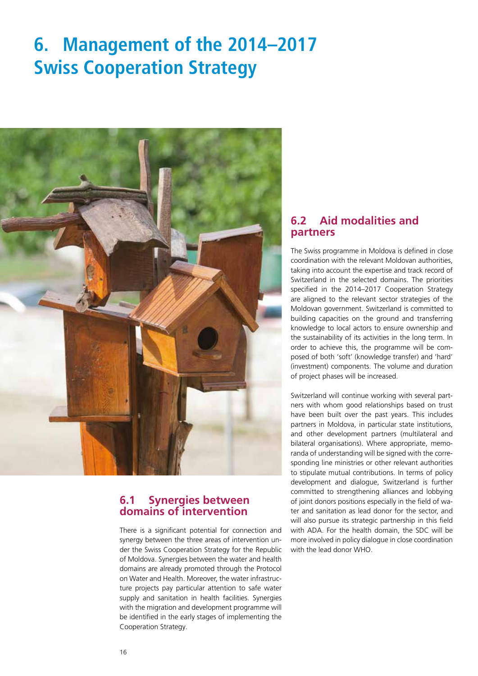# **6. Management of the 2014–2017 Swiss Cooperation Strategy**



### **6.1 Synergies between domains of intervention**

There is a significant potential for connection and synergy between the three areas of intervention under the Swiss Cooperation Strategy for the Republic of Moldova. Synergies between the water and health domains are already promoted through the Protocol on Water and Health. Moreover, the water infrastructure projects pay particular attention to safe water supply and sanitation in health facilities. Synergies with the migration and development programme will be identified in the early stages of implementing the Cooperation Strategy.

### **6.2 Aid modalities and partners**

The Swiss programme in Moldova is defined in close coordination with the relevant Moldovan authorities, taking into account the expertise and track record of Switzerland in the selected domains. The priorities specified in the 2014–2017 Cooperation Strategy are aligned to the relevant sector strategies of the Moldovan government. Switzerland is committed to building capacities on the ground and transferring knowledge to local actors to ensure ownership and the sustainability of its activities in the long term. In order to achieve this, the programme will be composed of both 'soft' (knowledge transfer) and 'hard' (investment) components. The volume and duration of project phases will be increased.

Switzerland will continue working with several partners with whom good relationships based on trust have been built over the past years. This includes partners in Moldova, in particular state institutions, and other development partners (multilateral and bilateral organisations). Where appropriate, memoranda of understanding will be signed with the corresponding line ministries or other relevant authorities to stipulate mutual contributions. In terms of policy development and dialogue, Switzerland is further committed to strengthening alliances and lobbying of joint donors positions especially in the field of water and sanitation as lead donor for the sector, and will also pursue its strategic partnership in this field with ADA. For the health domain, the SDC will be more involved in policy dialogue in close coordination with the lead donor WHO.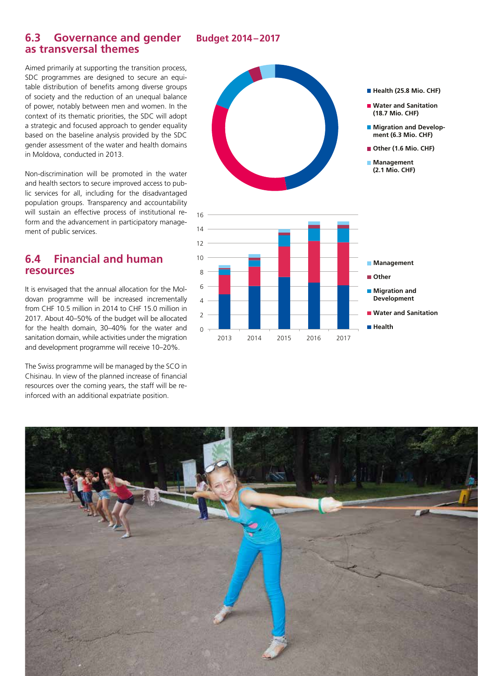#### **Budget 2014–2017**

### **6.3 Governance and gender as transversal themes**

Aimed primarily at supporting the transition process, SDC programmes are designed to secure an equitable distribution of benefits among diverse groups of society and the reduction of an unequal balance of power, notably between men and women. In the context of its thematic priorities, the SDC will adopt a strategic and focused approach to gender equality based on the baseline analysis provided by the SDC gender assessment of the water and health domains in Moldova, conducted in 2013.

Non-discrimination will be promoted in the water and health sectors to secure improved access to public services for all, including for the disadvantaged population groups. Transparency and accountability will sustain an effective process of institutional reform and the advancement in participatory management of public services.

### **6.4 Financial and human resources**

It is envisaged that the annual allocation for the Moldovan programme will be increased incrementally from CHF 10.5 million in 2014 to CHF 15.0 million in 2017. About 40–50% of the budget will be allocated for the health domain, 30–40% for the water and sanitation domain, while activities under the migration and development programme will receive 10–20%.

The Swiss programme will be managed by the SCO in Chisinau. In view of the planned increase of financial resources over the coming years, the staff will be reinforced with an additional expatriate position.



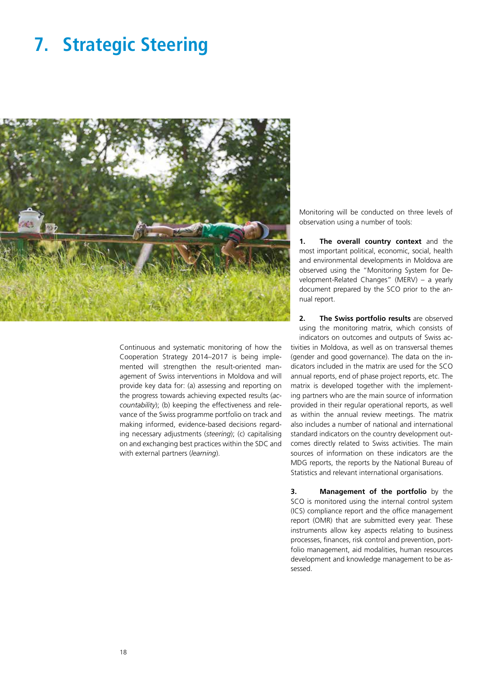### **7. Strategic Steering**



Continuous and systematic monitoring of how the Cooperation Strategy 2014–2017 is being implemented will strengthen the result-oriented management of Swiss interventions in Moldova and will provide key data for: (a) assessing and reporting on the progress towards achieving expected results (*accountability*); (b) keeping the effectiveness and relevance of the Swiss programme portfolio on track and making informed, evidence-based decisions regarding necessary adjustments (*steering*); (c) capitalising on and exchanging best practices within the SDC and with external partners (*learning*).

Monitoring will be conducted on three levels of observation using a number of tools:

**1. The overall country context** and the most important political, economic, social, health and environmental developments in Moldova are observed using the "Monitoring System for Development-Related Changes" (MERV) – a yearly document prepared by the SCO prior to the annual report.

**2. The Swiss portfolio results** are observed using the monitoring matrix, which consists of indicators on outcomes and outputs of Swiss activities in Moldova, as well as on transversal themes (gender and good governance). The data on the indicators included in the matrix are used for the SCO annual reports, end of phase project reports, etc. The matrix is developed together with the implementing partners who are the main source of information provided in their regular operational reports, as well as within the annual review meetings. The matrix also includes a number of national and international standard indicators on the country development outcomes directly related to Swiss activities. The main sources of information on these indicators are the MDG reports, the reports by the National Bureau of Statistics and relevant international organisations.

**3. Management of the portfolio** by the SCO is monitored using the internal control system (ICS) compliance report and the office management report (OMR) that are submitted every year. These instruments allow key aspects relating to business processes, finances, risk control and prevention, portfolio management, aid modalities, human resources development and knowledge management to be assessed.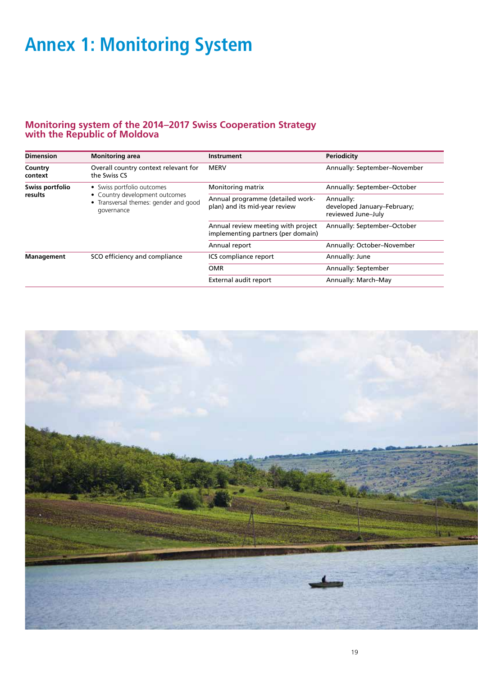# **Annex 1: Monitoring System**

#### **Monitoring system of the 2014–2017 Swiss Cooperation Strategy with the Republic of Moldova**

| <b>Dimension</b>   | <b>Monitoring area</b>                                                              | <b>Instrument</b>                                                        | <b>Periodicity</b>                                             |  |
|--------------------|-------------------------------------------------------------------------------------|--------------------------------------------------------------------------|----------------------------------------------------------------|--|
| Country<br>context | Overall country context relevant for<br>the Swiss CS                                | <b>MERV</b>                                                              | Annually: September-November                                   |  |
| Swiss portfolio    | • Swiss portfolio outcomes                                                          | Monitoring matrix                                                        | Annually: September-October                                    |  |
| results            | • Country development outcomes<br>Transversal themes: gender and good<br>governance | Annual programme (detailed work-<br>plan) and its mid-year review        | Annually:<br>developed January-February;<br>reviewed June-July |  |
|                    |                                                                                     | Annual review meeting with project<br>implementing partners (per domain) | Annually: September-October                                    |  |
|                    |                                                                                     | Annual report                                                            | Annually: October-November                                     |  |
| Management         | SCO efficiency and compliance                                                       | ICS compliance report                                                    | Annually: June                                                 |  |
|                    |                                                                                     | <b>OMR</b>                                                               | Annually: September                                            |  |
|                    |                                                                                     | External audit report                                                    | Annually: March-May                                            |  |

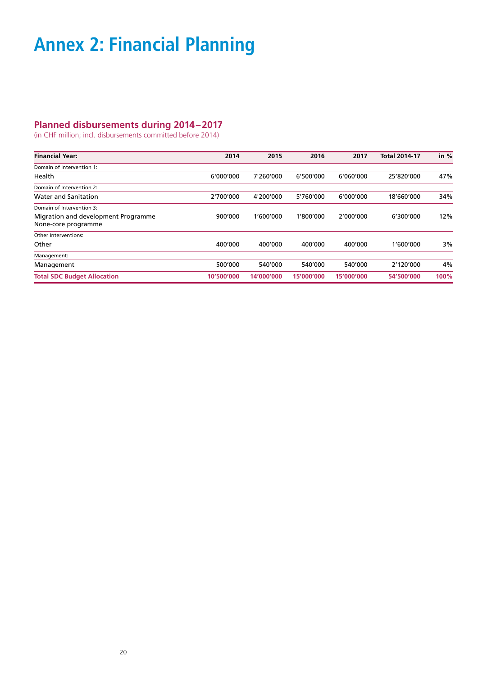# **Annex 2: Financial Planning**

#### **Planned disbursements during 2014–2017**

(in CHF million; incl. disbursements committed before 2014)

| <b>Financial Year:</b>              | 2014       | 2015       | 2016       | 2017       | <b>Total 2014-17</b> | in $%$ |
|-------------------------------------|------------|------------|------------|------------|----------------------|--------|
| Domain of Intervention 1:           |            |            |            |            |                      |        |
| Health                              | 6'000'000  | 7'260'000  | 6'500'000  | 6'060'000  | 25'820'000           | 47%    |
| Domain of Intervention 2:           |            |            |            |            |                      |        |
| <b>Water and Sanitation</b>         | 2'700'000  | 4'200'000  | 5'760'000  | 6'000'000  | 18'660'000           | 34%    |
| Domain of Intervention 3:           |            |            |            |            |                      |        |
| Migration and development Programme | 900'000    | 1'600'000  | 1'800'000  | 2'000'000  | 6'300'000            | 12%    |
| None-core programme                 |            |            |            |            |                      |        |
| Other Interventions:                |            |            |            |            |                      |        |
| Other                               | 400'000    | 400'000    | 400'000    | 400'000    | 1'600'000            | 3%     |
| Management:                         |            |            |            |            |                      |        |
| Management                          | 500'000    | 540'000    | 540'000    | 540'000    | 2'120'000            | 4%     |
| <b>Total SDC Budget Allocation</b>  | 10′500′000 | 14'000'000 | 15'000'000 | 15'000'000 | 54'500'000           | 100%   |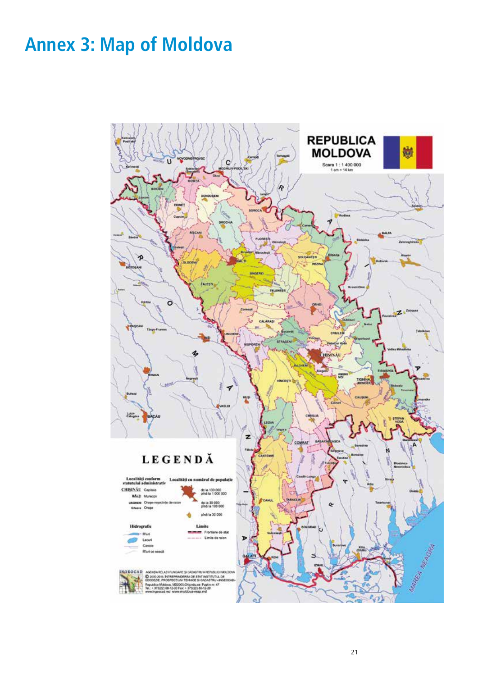# **Annex 3: Map of Moldova**

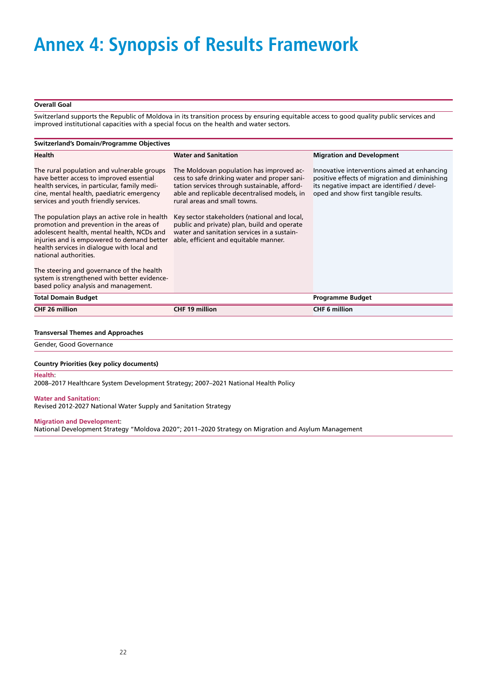# **Annex 4: Synopsis of Results Framework**

#### **Overall Goal**

Switzerland supports the Republic of Moldova in its transition process by ensuring equitable access to good quality public services and improved institutional capacities with a special focus on the health and water sectors.

| <b>Switzerland's Domain/Programme Objectives</b>                                                                                                                                                                                                                                                                                                                                                                                                                                             |                                                                                                                                                                                                                                                                                                                                                                                                                 |                                                                                                                                                                                      |  |
|----------------------------------------------------------------------------------------------------------------------------------------------------------------------------------------------------------------------------------------------------------------------------------------------------------------------------------------------------------------------------------------------------------------------------------------------------------------------------------------------|-----------------------------------------------------------------------------------------------------------------------------------------------------------------------------------------------------------------------------------------------------------------------------------------------------------------------------------------------------------------------------------------------------------------|--------------------------------------------------------------------------------------------------------------------------------------------------------------------------------------|--|
| Health                                                                                                                                                                                                                                                                                                                                                                                                                                                                                       | <b>Water and Sanitation</b>                                                                                                                                                                                                                                                                                                                                                                                     | <b>Migration and Development</b>                                                                                                                                                     |  |
| The rural population and vulnerable groups<br>have better access to improved essential<br>health services, in particular, family medi-<br>cine, mental health, paediatric emergency<br>services and youth friendly services.<br>The population plays an active role in health<br>promotion and prevention in the areas of<br>adolescent health, mental health, NCDs and<br>injuries and is empowered to demand better<br>health services in dialogue with local and<br>national authorities. | The Moldovan population has improved ac-<br>cess to safe drinking water and proper sani-<br>tation services through sustainable, afford-<br>able and replicable decentralised models, in<br>rural areas and small towns.<br>Key sector stakeholders (national and local,<br>public and private) plan, build and operate<br>water and sanitation services in a sustain-<br>able, efficient and equitable manner. | Innovative interventions aimed at enhancing<br>positive effects of migration and diminishing<br>its negative impact are identified / devel-<br>oped and show first tangible results. |  |
| The steering and governance of the health<br>system is strengthened with better evidence-<br>based policy analysis and management.                                                                                                                                                                                                                                                                                                                                                           |                                                                                                                                                                                                                                                                                                                                                                                                                 |                                                                                                                                                                                      |  |
| <b>Total Domain Budget</b>                                                                                                                                                                                                                                                                                                                                                                                                                                                                   |                                                                                                                                                                                                                                                                                                                                                                                                                 | <b>Programme Budget</b>                                                                                                                                                              |  |
| <b>CHF 26 million</b>                                                                                                                                                                                                                                                                                                                                                                                                                                                                        | <b>CHF 19 million</b>                                                                                                                                                                                                                                                                                                                                                                                           | <b>CHF 6 million</b>                                                                                                                                                                 |  |

#### **Transversal Themes and Approaches**

Gender, Good Governance

#### **Country Priorities (key policy documents)**

**Health**:

2008–2017 Healthcare System Development Strategy; 2007–2021 National Health Policy

#### **Water and Sanitation**:

Revised 2012-2027 National Water Supply and Sanitation Strategy

#### **Migration and Development**:

National Development Strategy "Moldova 2020"; 2011–2020 Strategy on Migration and Asylum Management